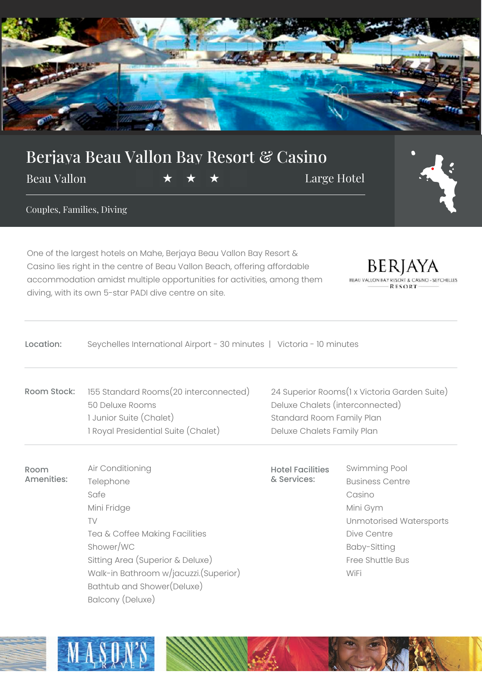

## Berjaya Beau Vallon Bay Resort & Casino

Beau Vallon  $\star \star \star \star$  Large Hotel



Couples, Families, Diving

One of the largest hotels on Mahe, Berjaya Beau Vallon Bay Resort & Casino lies right in the centre of Beau Vallon Beach, offering affordable accommodation amidst multiple opportunities for activities, among them diving, with its own 5-star PADI dive centre on site.

 $\operatorname{BERJAYA}_{\scriptscriptstyle{\mathsf{ALION\ RAYRESOFI\ \&\ CASING-SETCHELIES}}$ **BEAU VALLON RESORT** 

## Location: Seychelles International Airport - 30 minutes | Victoria - 10 minutes

- Room Stock: 155 Standard Rooms(20 interconnected) 50 Deluxe Rooms 1 Junior Suite (Chalet) 1 Royal Presidential Suite (Chalet)
- Room Amenities: Air Conditioning Telephone Safe Mini Fridge TV Tea & Coffee Making Facilities Shower/WC Sitting Area (Superior & Deluxe) Walk-in Bathroom w/jacuzzi.(Superior) Bathtub and Shower(Deluxe) Balcony (Deluxe)

24 Superior Rooms(1 x Victoria Garden Suite) Deluxe Chalets (interconnected) Standard Room Family Plan Deluxe Chalets Family Plan

Hotel Facilities & Services:

Swimming Pool Business Centre Casino Mini Gym Unmotorised Watersports Dive Centre Baby-Sitting Free Shuttle Bus WiFi